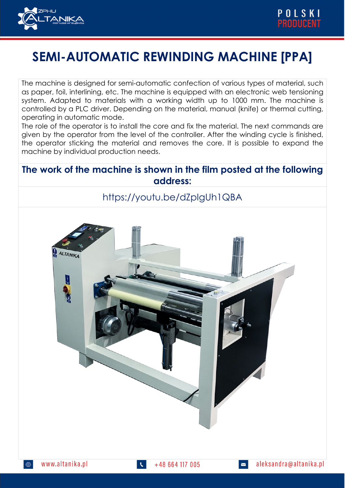

## **SEMI-AUTOMATIC REWINDING MACHINE [PPA]**

The machine is designed for semi-automatic confection of various types of material, such as paper, foil, interlining, etc. The machine is equipped with an electronic web tensioning system. Adapted to materials with a working width up to 1000 mm. The machine is controlled by a PLC driver. Depending on the material, manual (knife) or thermal cutting, operating in automatic mode.

The role of the operator is to install the core and fix the material. The next commands are given by the operator from the level of the controller. After the winding cycle is finished, the operator sticking the material and removes the core. It is possible to expand the machine by individual production needs.

## **The work of the machine is shown in the film posted at the following address:**

## https://youtu.be/dZpIgUh1QBA

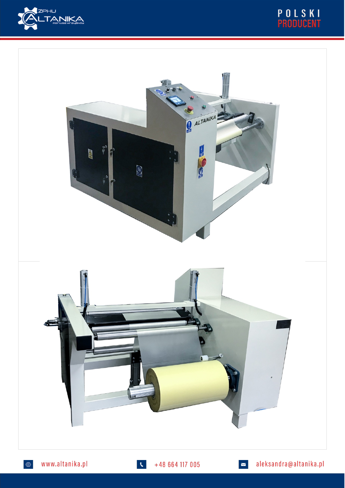





 $+48664117005$ 

aleksandra@altanika.pl